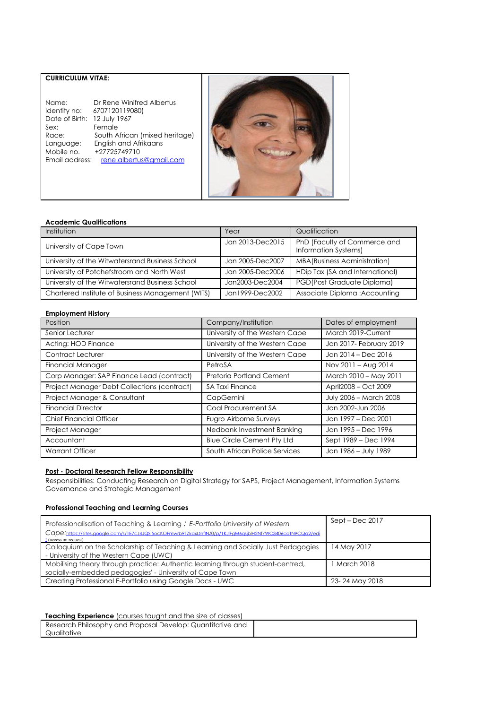# **CURRICULUM VITAE:**

| Name:          | Dr Rene Winifred Albertus      |
|----------------|--------------------------------|
| Identity no:   | 6707120119080)                 |
| Date of Birth: | 12 July 1967                   |
| Sex:           | Female                         |
| Race:          | South African (mixed heritage) |
| Language:      | English and Afrikaans          |
| Mobile no.     | +27725749710                   |
| Email address: | rene.albertus@amail.com        |
|                |                                |



## **Academic Qualifications**

| Institution                                       | Year             | Qualification                                        |
|---------------------------------------------------|------------------|------------------------------------------------------|
| University of Cape Town                           | Jan 2013-Dec2015 | PhD (Faculty of Commerce and<br>Information Systems) |
| University of the Witwatersrand Business School   | Jan 2005-Dec2007 | <b>MBA</b> (Business Administration)                 |
| University of Potchefstroom and North West        | Jan 2005-Dec2006 | HDip Tax (SA and International)                      |
| University of the Witwatersrand Business School   | Jan2003-Dec2004  | PGD(Post Graduate Diploma)                           |
| Chartered Institute of Business Management (WITS) | Jan1999-Dec2002  | Associate Diploma : Accounting                       |

## **Employment History**

| Position                                           | Company/Institution               | Dates of employment     |
|----------------------------------------------------|-----------------------------------|-------------------------|
| Senior Lecturer                                    | University of the Western Cape    | March 2019-Current      |
| Acting: HOD Finance                                | University of the Western Cape    | Jan 2017- February 2019 |
| Contract Lecturer                                  | University of the Western Cape    | Jan 2014 - Dec 2016     |
| <b>Financial Manager</b>                           | PetroSA                           | Nov 2011 - Aug 2014     |
| Corp Manager: SAP Finance Lead (contract)          | Pretoria Portland Cement          | March 2010 - May 2011   |
| <b>Project Manager Debt Collections (contract)</b> | SA Taxi Finance                   | April2008 - Oct 2009    |
| Project Manager & Consultant                       | CapGemini                         | July 2006 - March 2008  |
| <b>Financial Director</b>                          | Coal Procurement SA               | Jan 2002-Jun 2006       |
| <b>Chief Financial Officer</b>                     | <b>Fugro Airborne Surveys</b>     | Jan 1997 - Dec 2001     |
| Project Manager                                    | Nedbank Investment Banking        | Jan 1995 - Dec 1996     |
| Accountant                                         | <b>Blue Circle Cement Pty Ltd</b> | Sept 1989 – Dec 1994    |
| Warrant Officer                                    | South African Police Services     | Jan 1986 - July 1989    |

## **Post - Doctoral Research Fellow Responsibility**

Responsibilities: Conducting Research on Digital Strategy for SAPS, Project Management, Information Systems Governance and Strategic Management

## **Professional Teaching and Learning Courses**

| Professionalisation of Teaching & Learning: E-Portfolio University of Western<br>Cape:https://sites.google.com/s/1E7cJ4JQSj5ocKOFmwrb91ZkaxDnflNZ0/p/1KJlFgM6gsjblH2Nf7WC3406coTN9CQa2/edi<br>$\frac{1}{2}$ (access on request) | $Sept - Dec 2017$ |
|---------------------------------------------------------------------------------------------------------------------------------------------------------------------------------------------------------------------------------|-------------------|
| Colloquium on the Scholarship of Teaching & Learning and Socially Just Pedagogies<br>- University of the Western Cape (UWC)                                                                                                     | 14 May 2017       |
| Mobilising theory through practice: Authentic learning through student-centred,<br>socially-embedded pedagogies' - University of Cape Town                                                                                      | March 2018        |
| Creating Professional E-Portfolio using Google Docs - UWC                                                                                                                                                                       | 23-24 May 2018    |

## **Teaching Experience** (courses taught and the size of classes)

| <b>TOWER IN EXPERIENCE (OUTSOURCE IN THE ENDING THE ENDING SECTION AND</b> |  |
|----------------------------------------------------------------------------|--|
| Research Philosophy and Proposal Develop: Quantitative and                 |  |
| `Qualitative                                                               |  |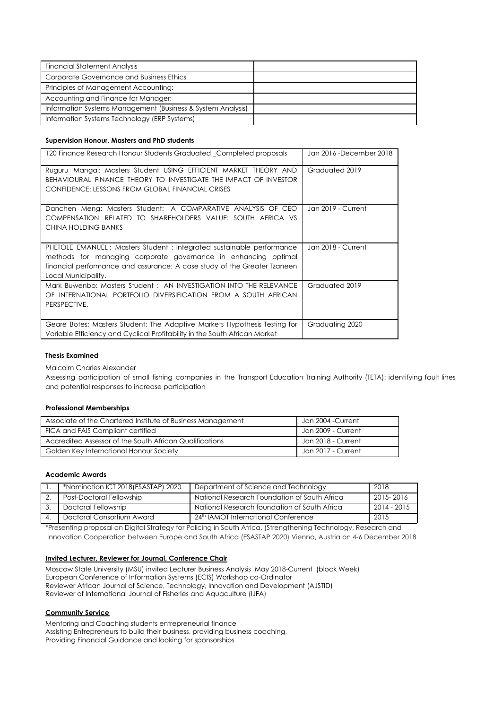| <b>Financial Statement Analysis</b>                         |  |
|-------------------------------------------------------------|--|
| Corporate Governance and Business Ethics                    |  |
| Principles of Management Accounting:                        |  |
| Accounting and Finance for Manager:                         |  |
| Information Systems Management (Business & System Analysis) |  |
| Information Systems Technology (ERP Systems)                |  |

## **Supervision Honour, Masters and PhD students**

| 120 Finance Research Honour Students Graduated _Completed proposals                                                                                                                                                                       | Jan 2016 - December 2018 |
|-------------------------------------------------------------------------------------------------------------------------------------------------------------------------------------------------------------------------------------------|--------------------------|
| Ruguru Mangai: Masters Student USING EFFICIENT MARKET THEORY AND<br>BEHAVIOURAL FINANCE THEORY TO INVESTIGATE THE IMPACT OF INVESTOR<br>CONFIDENCE: LESSONS FROM GLOBAL FINANCIAL CRISES                                                  | Graduated 2019           |
| Danchen Meng: Masters Student: A COMPARATIVE ANALYSIS OF CEO<br>COMPENSATION RELATED TO SHAREHOLDERS VALUE: SOUTH AFRICA VS<br>CHINA HOLDING BANKS                                                                                        | Jan 2019 - Current       |
| PHETOLE EMANUEL: Masters Student: Integrated sustainable performance<br>methods for managing corporate governance in enhancing optimal<br>financial performance and assurance: A case study of the Greater Tzaneen<br>Local Municipality. | Jan 2018 - Current       |
| Mark Buwenbo: Masters Student: AN INVESTIGATION INTO THE RELEVANCE<br>OF INTERNATIONAL PORTFOLIO DIVERSIFICATION FROM A SOUTH AFRICAN<br>PERSPECTIVE.                                                                                     | Graduated 2019           |
| Geare Botes: Masters Student: The Adaptive Markets Hypothesis Testing for<br>Variable Efficiency and Cyclical Profitability in the South African Market                                                                                   | Graduating 2020          |

## **Thesis Examined**

Malcolm Charles Alexander

Assessing participation of small fishing companies in the Transport Education Training Authority (TETA): identifying fault lines and potential responses to increase participation

### **Professional Memberships**

| Associate of the Chartered Institute of Business Management | Jan 2004 - Current |
|-------------------------------------------------------------|--------------------|
| FICA and FAIS Compliant certified                           | Jan 2009 - Current |
| Accredited Assessor of the South African Qualifications     | Jan 2018 - Current |
| Golden Key International Honour Society                     | Jan 2017 - Current |

## **Academic Awards**

| *Nomination ICT 2018(ESASTAP) 2020 | Department of Science and Technology         | 2018        |
|------------------------------------|----------------------------------------------|-------------|
| Post-Doctoral Fellowship           | National Research Foundation of South Africa | 2015-2016   |
| Doctoral Fellowship                | National Research foundation of South Africa | 2014 - 2015 |
| Doctoral Consortium Award          | 24th IAMOT International Conference          | 2015        |

\*Presenting proposal on Digital Strategy for Policing in South Africa. (Strengthening Technology, Research and Innovation Cooperation between Europe and South Africa (ESASTAP 2020) Vienna, Austria on 4-6 December 2018

### **Invited Lecturer, Reviewer for Journal, Conference Chair**

Moscow State University (MSU) invited Lecturer Business Analysis May 2018-Current (block Week) European Conference of Information Systems (ECIS) Workshop co-Ordinator Reviewer African Journal of Science, Technology, Innovation and Development (AJSTID) Reviewer of International Journal of Fisheries and Aquaculture (IJFA)

## **Community Service**

Mentoring and Coaching students entrepreneurial finance Assisting Entrepreneurs to build their business, providing business coaching, Providing Financial Guidance and looking for sponsorships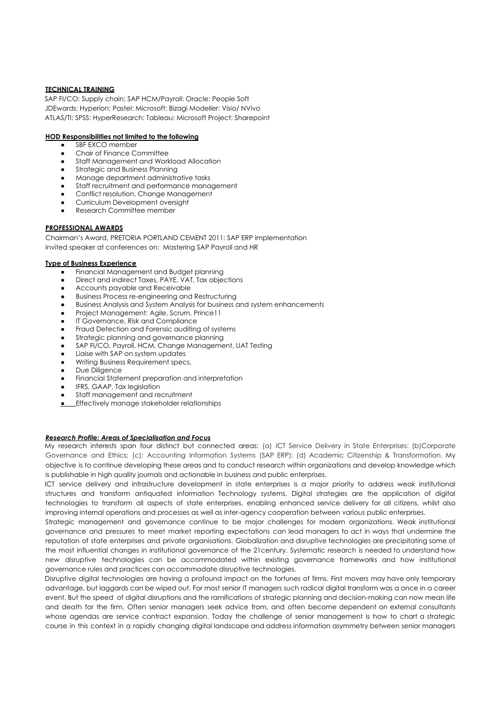### **TECHNICAL TRAINING**

SAP FI/CO: Supply chain; SAP HCM/Payroll: Oracle: People Soft JDEwards: Hyperion: Pastel: Microsoft: Bizagi Modeller: Visio/ NVivo ATLAS/TI: SPSS: HyperResearch: Tableau: Microsoft Project: Sharepoint

### **HOD Responsibilities not limited to the following**

- SBF EXCO member
- Chair of Finance Committee
- Staff Management and Workload Allocation
- Strategic and Business Planning
- Manage department administrative tasks
- Staff recruitment and performance management Conflict resolution, Change Management
- Curriculum Development oversight
- Research Committee member

## **PROFESSIONAL AWARDS**

Chairman's Award, PRETORIA PORTLAND CEMENT 2011: SAP ERP Implementation Invited speaker at conferences on: Mastering SAP Payroll and HR

### **Type of Business Experience**

- Financial Management and Budget planning
- Direct and indirect Taxes, PAYE, VAT, Tax objections
- Accounts payable and Receivable
- Business Process re-engineering and Restructuring
- Business Analysis and System Analysis for business and system enhancements
- Project Management: Agile, Scrum, Prince11
- IT Governance, Risk and Compliance
- Fraud Detection and Forensic auditing of systems
- Strategic planning and governance planning
- SAP FI/CO, Payroll, HCM, Change Management, UAT Testing
- Liaise with SAP on system updates
- Writing Business Requirement specs,
- Due Diligence
- Financial Statement preparation and interpretation
- IFRS, GAAP, Tax legislation
- Staff management and recruitment
- **•** Effectively manage stakeholder relationships

## *Research Profile: Areas of Specialisation and Focus*

My research interests span four distinct but connected areas: (a) ICT Service Delivery in State Enterprises: (b)Corporate Governance and Ethics; (c); Accounting Information Systems (SAP ERP); (d) Academic Citizenship & Transformation. My objective is to continue developing these areas and to conduct research within organizations and develop knowledge which is publishable in high quality journals and actionable in business and public enterprises.

ICT service delivery and infrastructure development in state enterprises is a major priority to address weak institutional structures and transform antiquated information Technology systems. Digital strategies are the application of digital technologies to transform all aspects of state enterprises, enabling enhanced service delivery for all citizens, whilst also improving internal operations and processes as well as inter-agency cooperation between various public enterprises.

Strategic management and governance continue to be major challenges for modern organizations. Weak institutional governance and pressures to meet market reporting expectations can lead managers to act in ways that undermine the reputation of state enterprises and private organisations. Globalization and disruptive technologies are precipitating some of the most influential changes in institutional governance of the 21century. Systematic research is needed to understand how new disruptive technologies can be accommodated within existing governance frameworks and how institutional governance rules and practices can accommodate disruptive technologies.

Disruptive digital technologies are having a profound impact on the fortunes of firms. First movers may have only temporary advantage, but laggards can be wiped out. For most senior IT managers such radical digital transform was a once in a career event. But the speed of digital disruptions and the ramifications of strategic planning and decision-making can now mean life and death for the firm. Often senior managers seek advice from, and often become dependent on external consultants whose agendas are service contract expansion. Today the challenge of senior management is how to chart a strategic course in this context in a rapidly changing digital landscape and address information asymmetry between senior managers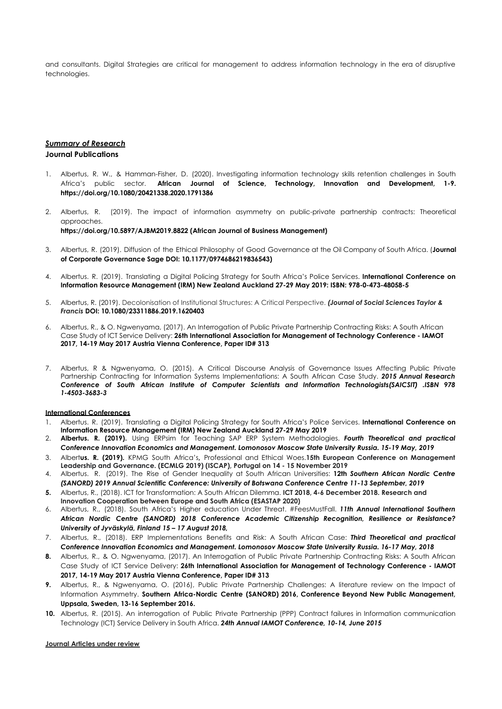and consultants. Digital Strategies are critical for management to address information technology in the era of disruptive technologies.

## *Summary of Research* **Journal Publications**

- 1. Albertus, R. W., & Hamman-Fisher, D. (2020). Investigating information technology skills retention challenges in South Africa's public sector. **African Journal of Science, Technology, Innovation and Development, 1-9. <https://doi.org/10.1080/20421338.2020.1791386>**
- 2. Albertus, R. (2019). The impact of information asymmetry on public-private partnership contracts: Theoretical approaches. **[https://doi.org/10.5897/AJBM2019.8822](http://harv.academicjournals.info/index.php?subid=1664301&option=com_acymailing&ctrl=url&urlid=5073&mailid=235) (African Journal of Business Management)**
- 3. Albertus, R. (2019). Diffusion of the Ethical Philosophy of Good Governance at the Oil Company of South Africa. (**Journal of Corporate Governance Sage DOI: 10.1177/0974686219836543)**
- 4. Albertus. R. (2019). Translating a Digital Policing Strategy for South Africa's Police Services. **International Conference on Information Resource Management (IRM) New Zealand Auckland 27-29 May 2019: ISBN: 978-0-473-48058-5**
- 5. Albertus, R. (2019). Decolonisation of Institutional Structures: A Critical Perspective. *(Journal of Social Sciences Taylor & Francis* **DOI: 10.1080/23311886.2019.1620403**
- 6. Albertus, R., & O. Ngwenyama, (2017). An Interrogation of Public Private Partnership Contracting Risks: A South African Case Study of ICT Service Delivery: **26th International Association for Management of Technology Conference - IAMOT 2017, 14-19 May 2017 Austria Vienna Conference, Paper ID# 313**
- 7. Albertus, R & Ngwenyama, O. (2015). A Critical Discourse Analysis of Governance Issues Affecting Public Private Partnership Contracting for Information Systems Implementations: A South African Case Study. *2015 Annual Research Conference of South African Institute of Computer Scientists and Information Technologists(SAICSIT) .ISBN 978 1-4503-3683-3*

### **International Conferences**

- 1. Albertus. R. (2019). Translating a Digital Policing Strategy for South Africa's Police Services. **International Conference on Information Resource Management (IRM) New Zealand Auckland 27-29 May 2019**
- 2. **Albertus. R. (2019).** Using ERPsim for Teaching SAP ERP System Methodologies. *Fourth Theoretical and practical Conference Innovation Economics and Management. Lomonosov Moscow State University Russia. 15-19 May, 2019*
- 3. Albert**us. R. (2019).** KPMG South Africa's**,** Professional and Ethical Woes.**15th European Conference on Management Leadership and Governance. (ECMLG 2019) (ISCAP), Portugal on 14 - 15 November 2019**
- 4. Albertus. R. (2019). The Rise of Gender Inequality at South African Universities: **12th** *Southern African Nordic Centre (SANORD) 2019 Annual Scientific Conference: University of Botswana Conference Centre 11-13 September, 2019*
- **5.** Albertus, R., (2018). ICT for Transformation: A South African Dilemma. **ICT 2018, 4-6 December 2018. Research and Innovation Cooperation between Europe and South Africa (ESASTAP 2020)**
- 6. Albertus, R., (2018). South Africa's Higher education Under Threat. #FeesMustFall. *11th Annual International Southern African Nordic Centre (SANORD) 2018 Conference Academic Citizenship Recognition, Resilience or Resistance? University of Jyväskylä, Finland 15 – 17 August 2018,*
- 7. Albertus, R., (2018). ERP Implementations Benefits and Risk: A South African Case: *Third Theoretical and practical Conference Innovation Economics and Management. Lomonosov Moscow State University Russia. 16-17 May, 2018*
- **8.** Albertus, R., & O. Ngwenyama, (2017). An Interrogation of Public Private Partnership Contracting Risks: A South African Case Study of ICT Service Delivery: **26th International Association for Management of Technology Conference - IAMOT 2017, 14-19 May 2017 Austria Vienna Conference, Paper ID# 313**
- **9.** Albertus, R., & Ngwenyama, O. (2016), Public Private Partnership Challenges: A literature review on the Impact of Information Asymmetry. **Southern Africa-Nordic Centre (SANORD) 2016, Conference Beyond New Public Management, Uppsala, Sweden, 13-16 September 2016.**
- **10.** Albertus, R. (2015). An interrogation of Public Private Partnership (PPP) Contract failures in Information communication Technology (ICT) Service Delivery in South Africa. *24th Annual IAMOT Conference, 10-14, June 2015*

#### **Journal Articles under review**